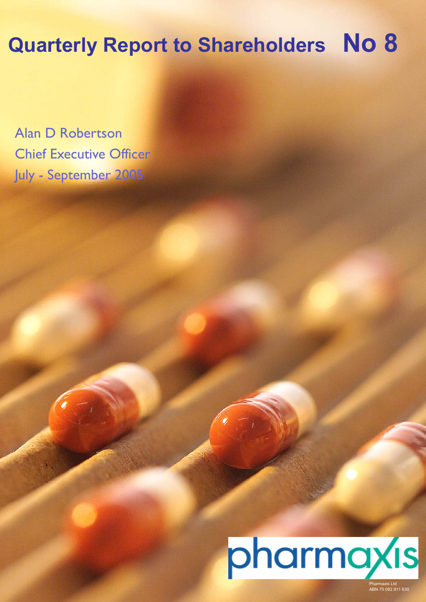# **Quarterly Report to Shareholders No 8**

Alan D Robertson Chief Executive Officer July - September 2005



Pharmaxis Ltd ABN 75 082 811 630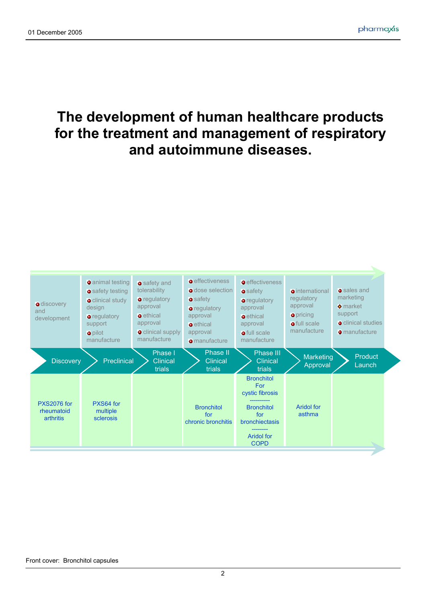# **The development of human healthcare products for the treatment and management of respiratory and autoimmune diseases.**

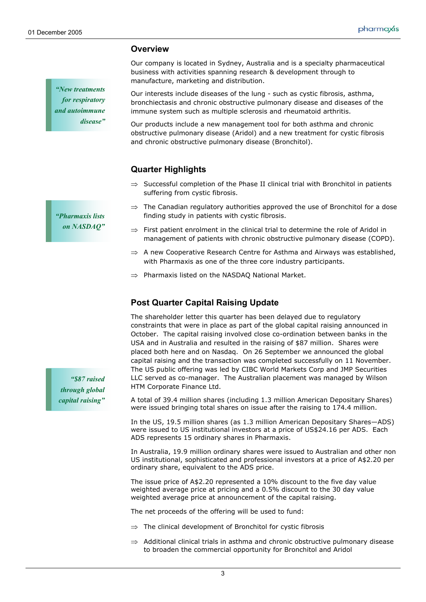**Overview** 

**Quarter Highlights**

suffering from cystic fibrosis.

*"New treatments for respiratory and autoimmune disease"* 

*"Pharmaxis lists on NASDAQ"* 

*"\$87 raised through global capital raising"* 

 $\Rightarrow$  The Canadian regulatory authorities approved the use of Bronchitol for a dose finding study in patients with cystic fibrosis.

 $\Rightarrow$  Successful completion of the Phase II clinical trial with Bronchitol in patients

Our company is located in Sydney, Australia and is a specialty pharmaceutical

Our interests include diseases of the lung - such as cystic fibrosis, asthma, bronchiectasis and chronic obstructive pulmonary disease and diseases of the

Our products include a new management tool for both asthma and chronic obstructive pulmonary disease (Aridol) and a new treatment for cystic fibrosis

business with activities spanning research & development through to

immune system such as multiple sclerosis and rheumatoid arthritis.

and chronic obstructive pulmonary disease (Bronchitol).

manufacture, marketing and distribution.

- $\Rightarrow$  First patient enrolment in the clinical trial to determine the role of Aridol in management of patients with chronic obstructive pulmonary disease (COPD).
- $\Rightarrow$  A new Cooperative Research Centre for Asthma and Airways was established, with Pharmaxis as one of the three core industry participants.
- ⇒ Pharmaxis listed on the NASDAQ National Market.

# **Post Quarter Capital Raising Update**

The shareholder letter this quarter has been delayed due to regulatory constraints that were in place as part of the global capital raising announced in October. The capital raising involved close co-ordination between banks in the USA and in Australia and resulted in the raising of \$87 million. Shares were placed both here and on Nasdaq. On 26 September we announced the global capital raising and the transaction was completed successfully on 11 November. The US public offering was led by CIBC World Markets Corp and JMP Securities LLC served as co-manager. The Australian placement was managed by Wilson HTM Corporate Finance Ltd.

A total of 39.4 million shares (including 1.3 million American Depositary Shares) were issued bringing total shares on issue after the raising to 174.4 million.

In the US, 19.5 million shares (as 1.3 million American Depositary Shares—ADS) were issued to US institutional investors at a price of US\$24.16 per ADS. Each ADS represents 15 ordinary shares in Pharmaxis.

In Australia, 19.9 million ordinary shares were issued to Australian and other non US institutional, sophisticated and professional investors at a price of A\$2.20 per ordinary share, equivalent to the ADS price.

The issue price of A\$2.20 represented a 10% discount to the five day value weighted average price at pricing and a 0.5% discount to the 30 day value weighted average price at announcement of the capital raising.

The net proceeds of the offering will be used to fund:

- $\Rightarrow$  The clinical development of Bronchitol for cystic fibrosis
- $\Rightarrow$  Additional clinical trials in asthma and chronic obstructive pulmonary disease to broaden the commercial opportunity for Bronchitol and Aridol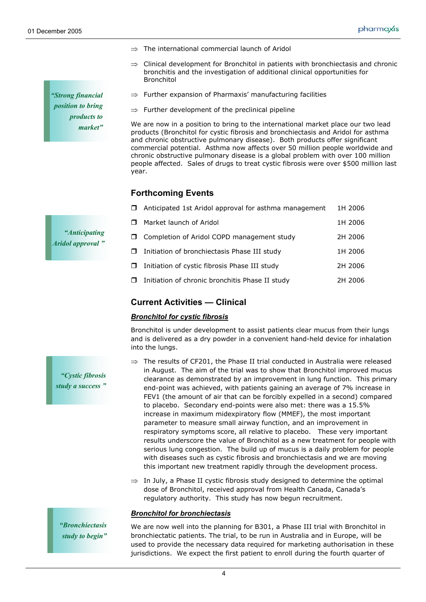*"Strong financial position to bring products to market"* 

- ⇒ The international commercial launch of Aridol
- $\Rightarrow$  Clinical development for Bronchitol in patients with bronchiectasis and chronic bronchitis and the investigation of additional clinical opportunities for Bronchitol
- $\Rightarrow$  Further expansion of Pharmaxis' manufacturing facilities
- $\Rightarrow$  Further development of the preclinical pipeline

We are now in a position to bring to the international market place our two lead products (Bronchitol for cystic fibrosis and bronchiectasis and Aridol for asthma and chronic obstructive pulmonary disease). Both products offer significant commercial potential. Asthma now affects over 50 million people worldwide and chronic obstructive pulmonary disease is a global problem with over 100 million people affected. Sales of drugs to treat cystic fibrosis were over \$500 million last year.

# **Forthcoming Events**

|    | $\Box$ Anticipated 1st Aridol approval for asthma management | 1H 2006 |
|----|--------------------------------------------------------------|---------|
| Π. | Market launch of Aridol                                      | 1H 2006 |
|    | □ Completion of Aridol COPD management study                 | 2H 2006 |
| П. | Initiation of bronchiectasis Phase III study                 | 1H 2006 |
|    | $\Box$ Initiation of cystic fibrosis Phase III study         | 2H 2006 |
| Π. | Initiation of chronic bronchitis Phase II study              | 2H 2006 |
|    |                                                              |         |

# **Current Activities — Clinical**

# *Bronchitol for cystic fibrosis*

Bronchitol is under development to assist patients clear mucus from their lungs and is delivered as a dry powder in a convenient hand-held device for inhalation into the lungs.

- $\Rightarrow$  The results of CF201, the Phase II trial conducted in Australia were released in August. The aim of the trial was to show that Bronchitol improved mucus clearance as demonstrated by an improvement in lung function. This primary end-point was achieved, with patients gaining an average of 7% increase in FEV1 (the amount of air that can be forcibly expelled in a second) compared to placebo. Secondary end-points were also met: there was a 15.5% increase in maximum midexpiratory flow (MMEF), the most important parameter to measure small airway function, and an improvement in respiratory symptoms score, all relative to placebo. These very important results underscore the value of Bronchitol as a new treatment for people with serious lung congestion. The build up of mucus is a daily problem for people with diseases such as cystic fibrosis and bronchiectasis and we are moving this important new treatment rapidly through the development process.
- $\Rightarrow$  In July, a Phase II cystic fibrosis study designed to determine the optimal dose of Bronchitol, received approval from Health Canada, Canada's regulatory authority. This study has now begun recruitment.

#### *Bronchitol for bronchiectasis*

We are now well into the planning for B301, a Phase III trial with Bronchitol in bronchiectatic patients. The trial, to be run in Australia and in Europe, will be used to provide the necessary data required for marketing authorisation in these jurisdictions. We expect the first patient to enroll during the fourth quarter of

*"Anticipating Aridol approval "* 

*"Cystic fibrosis study a success "* 

*"Bronchiectasis study to begin"*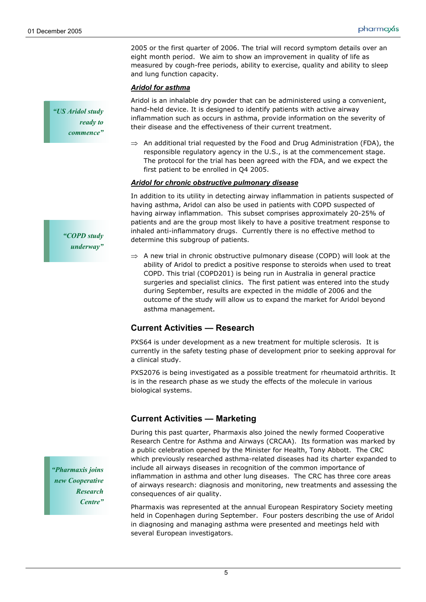2005 or the first quarter of 2006. The trial will record symptom details over an eight month period. We aim to show an improvement in quality of life as measured by cough-free periods, ability to exercise, quality and ability to sleep and lung function capacity.

#### *Aridol for asthma*

Aridol is an inhalable dry powder that can be administered using a convenient, hand-held device. It is designed to identify patients with active airway inflammation such as occurs in asthma, provide information on the severity of their disease and the effectiveness of their current treatment.

 $\Rightarrow$  An additional trial requested by the Food and Drug Administration (FDA), the responsible regulatory agency in the U.S., is at the commencement stage. The protocol for the trial has been agreed with the FDA, and we expect the first patient to be enrolled in Q4 2005.

#### *Aridol for chronic obstructive pulmonary disease*

In addition to its utility in detecting airway inflammation in patients suspected of having asthma, Aridol can also be used in patients with COPD suspected of having airway inflammation. This subset comprises approximately 20-25% of patients and are the group most likely to have a positive treatment response to inhaled anti-inflammatory drugs. Currently there is no effective method to determine this subgroup of patients.

 $\Rightarrow$  A new trial in chronic obstructive pulmonary disease (COPD) will look at the ability of Aridol to predict a positive response to steroids when used to treat COPD. This trial (COPD201) is being run in Australia in general practice surgeries and specialist clinics. The first patient was entered into the study during September, results are expected in the middle of 2006 and the outcome of the study will allow us to expand the market for Aridol beyond asthma management.

# **Current Activities — Research**

PXS64 is under development as a new treatment for multiple sclerosis. It is currently in the safety testing phase of development prior to seeking approval for a clinical study.

PXS2076 is being investigated as a possible treatment for rheumatoid arthritis. It is in the research phase as we study the effects of the molecule in various biological systems.

# **Current Activities — Marketing**

During this past quarter, Pharmaxis also joined the newly formed Cooperative Research Centre for Asthma and Airways (CRCAA). Its formation was marked by a public celebration opened by the Minister for Health, Tony Abbott. The CRC which previously researched asthma-related diseases had its charter expanded to include all airways diseases in recognition of the common importance of inflammation in asthma and other lung diseases. The CRC has three core areas of airways research: diagnosis and monitoring, new treatments and assessing the consequences of air quality.

Pharmaxis was represented at the annual European Respiratory Society meeting held in Copenhagen during September. Four posters describing the use of Aridol in diagnosing and managing asthma were presented and meetings held with several European investigators.

*"Pharmaxis joins new Cooperative Research Centre"* 

*"COPD study underway"* 

*"US Aridol study* 

*ready to commence"*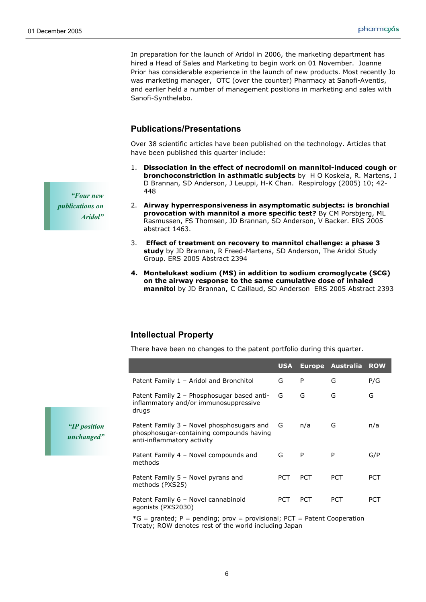In preparation for the launch of Aridol in 2006, the marketing department has hired a Head of Sales and Marketing to begin work on 01 November. Joanne Prior has considerable experience in the launch of new products. Most recently Jo was marketing manager, OTC (over the counter) Pharmacy at Sanofi-Aventis, and earlier held a number of management positions in marketing and sales with Sanofi-Synthelabo.

# **Publications/Presentations**

Over 38 scientific articles have been published on the technology. Articles that have been published this quarter include:

- 1. **Dissociation in the effect of necrodomil on mannitol-induced cough or bronchoconstriction in asthmatic subjects** by H O Koskela, R. Martens, J D Brannan, SD Anderson, J Leuppi, H-K Chan. Respirology (2005) 10; 42- 448
- 2. **Airway hyperresponsiveness in asymptomatic subjects: is bronchial provocation with mannitol a more specific test?** By CM Porsbjerg, ML Rasmussen, FS Thomsen, JD Brannan, SD Anderson, V Backer. ERS 2005 abstract 1463.
- 3. **Effect of treatment on recovery to mannitol challenge: a phase 3 study** by JD Brannan, R Freed-Martens, SD Anderson, The Aridol Study Group. ERS 2005 Abstract 2394
- **4. Montelukast sodium (MS) in addition to sodium cromoglycate (SCG) on the airway response to the same cumulative dose of inhaled mannitol** by JD Brannan, C Caillaud, SD Anderson ERS 2005 Abstract 2393

# **Intellectual Property**

There have been no changes to the patent portfolio during this quarter.

|                            |                                                                                                                     | <b>USA</b> |            | Europe Australia | <b>ROW</b> |
|----------------------------|---------------------------------------------------------------------------------------------------------------------|------------|------------|------------------|------------|
|                            | Patent Family 1 - Aridol and Bronchitol                                                                             | G          | P          | G                | P/G        |
|                            | Patent Family 2 - Phosphosugar based anti-<br>inflammatory and/or immunosuppressive<br>drugs                        | G          | G          | G                | G          |
| "IP position<br>unchanged" | Patent Family 3 - Novel phosphosugars and<br>phosphosugar-containing compounds having<br>anti-inflammatory activity | G          | n/a        | G                | n/a        |
|                            | Patent Family 4 - Novel compounds and<br>methods                                                                    | G          | P          | P                | G/P        |
|                            | Patent Family 5 - Novel pyrans and<br>methods (PXS25)                                                               | <b>PCT</b> | <b>PCT</b> | <b>PCT</b>       | <b>PCT</b> |
|                            | Patent Family 6 - Novel cannabinoid<br>agonists (PXS2030)                                                           | <b>PCT</b> | <b>PCT</b> | <b>PCT</b>       | <b>PCT</b> |
|                            | $*C = arantad \cdot D = nendina \cdot nrou = nrouicional \cdot DCT = Dstant Conparation$                            |            |            |                  |            |

 $G =$  granted; P = pending; prov = provisional; PCT = Patent Cooperation Treaty; ROW denotes rest of the world including Japan

*"Four new publications on Aridol"*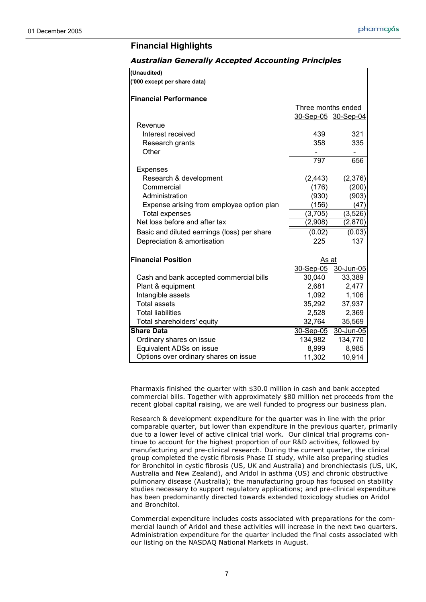# **Financial Highlights**

|  | <b>Australian Generally Accepted Accounting Principles</b> |  |
|--|------------------------------------------------------------|--|
|  |                                                            |  |

| (Unaudited)                                 |                    |                     |
|---------------------------------------------|--------------------|---------------------|
| ('000 except per share data)                |                    |                     |
| <b>Financial Performance</b>                |                    |                     |
|                                             | Three months ended |                     |
|                                             |                    | 30-Sep-05 30-Sep-04 |
| Revenue                                     |                    |                     |
| Interest received                           | 439                | 321                 |
| Research grants                             | 358                | 335                 |
| Other                                       |                    |                     |
|                                             | 797                | 656                 |
| <b>Expenses</b>                             |                    |                     |
| Research & development                      | (2, 443)           | (2,376)             |
| Commercial                                  | (176)              | (200)               |
| Administration                              | (930)              | (903)               |
| Expense arising from employee option plan   | (156)              | (47)                |
| <b>Total expenses</b>                       | (3,705)            | (3, 526)            |
| Net loss before and after tax               | (2,908)            | (2,870)             |
| Basic and diluted earnings (loss) per share | (0.02)             | (0.03)              |
| Depreciation & amortisation                 | 225                | 137                 |
| <b>Financial Position</b>                   | As at              |                     |
|                                             | <u>30-Sep-05</u>   | 30-Jun-05           |
| Cash and bank accepted commercial bills     | 30,040             | 33,389              |
| Plant & equipment                           | 2,681              | 2,477               |
| Intangible assets                           | 1,092              | 1,106               |
| <b>Total assets</b>                         | 35,292             | 37,937              |
| <b>Total liabilities</b>                    | 2,528              | 2,369               |
| Total shareholders' equity                  | 32,764             | 35,569              |
| <b>Share Data</b>                           | 30-Sep-05          | 30-Jun-05           |
| Ordinary shares on issue                    | 134,982            | 134,770             |
| Equivalent ADSs on issue                    | 8,999              | 8,985               |
| Options over ordinary shares on issue       | 11,302             | 10,914              |

Pharmaxis finished the quarter with \$30.0 million in cash and bank accepted commercial bills. Together with approximately \$80 million net proceeds from the recent global capital raising, we are well funded to progress our business plan.

Research & development expenditure for the quarter was in line with the prior comparable quarter, but lower than expenditure in the previous quarter, primarily due to a lower level of active clinical trial work. Our clinical trial programs continue to account for the highest proportion of our R&D activities, followed by manufacturing and pre-clinical research. During the current quarter, the clinical group completed the cystic fibrosis Phase II study, while also preparing studies for Bronchitol in cystic fibrosis (US, UK and Australia) and bronchiectasis (US, UK, Australia and New Zealand), and Aridol in asthma (US) and chronic obstructive pulmonary disease (Australia); the manufacturing group has focused on stability studies necessary to support regulatory applications; and pre-clinical expenditure has been predominantly directed towards extended toxicology studies on Aridol and Bronchitol.

Commercial expenditure includes costs associated with preparations for the commercial launch of Aridol and these activities will increase in the next two quarters. Administration expenditure for the quarter included the final costs associated with our listing on the NASDAQ National Markets in August.